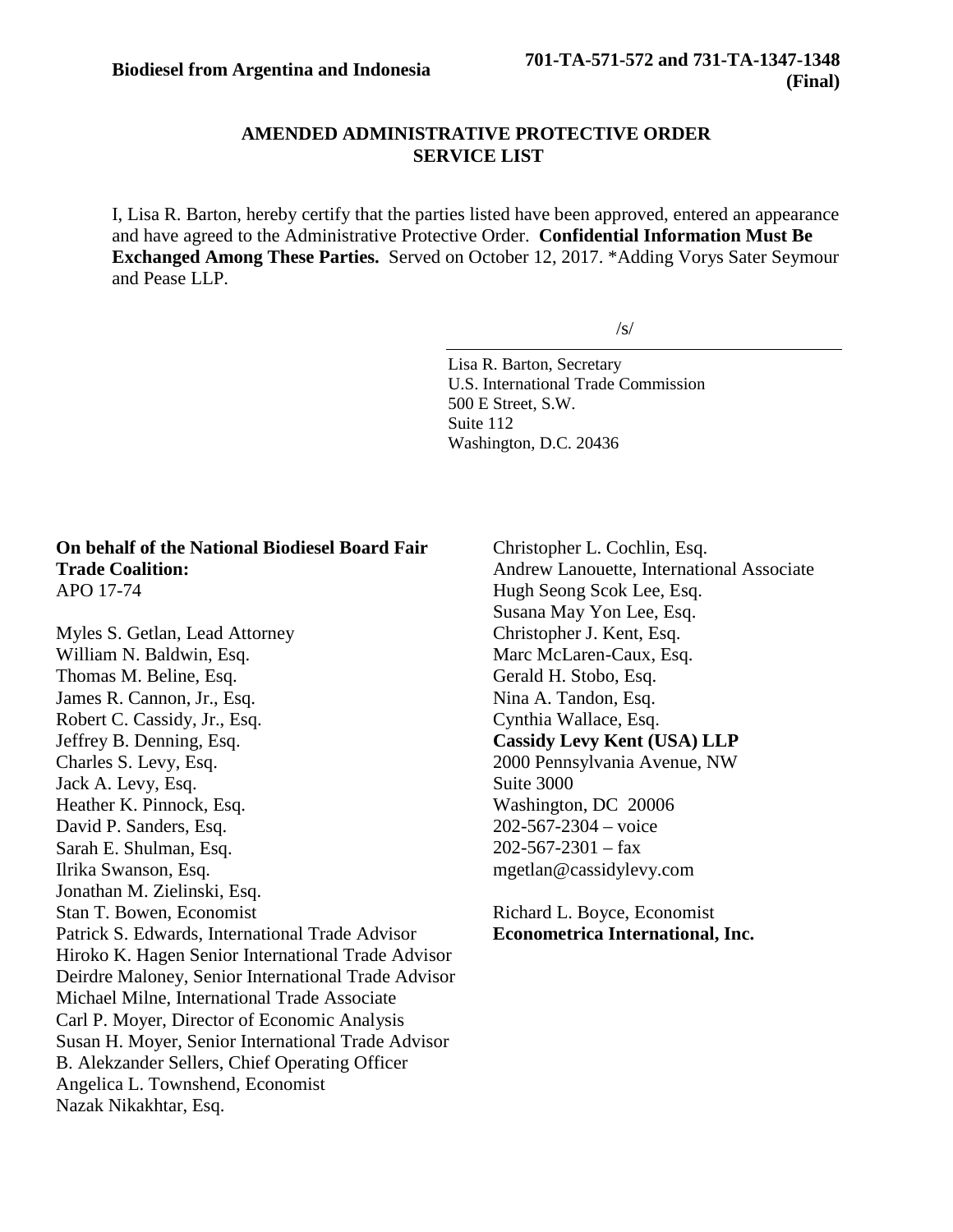# **AMENDED ADMINISTRATIVE PROTECTIVE ORDER SERVICE LIST**

I, Lisa R. Barton, hereby certify that the parties listed have been approved, entered an appearance and have agreed to the Administrative Protective Order. **Confidential Information Must Be Exchanged Among These Parties.** Served on October 12, 2017. \*Adding Vorys Sater Seymour and Pease LLP.

 $/s/$ 

Lisa R. Barton, Secretary U.S. International Trade Commission 500 E Street, S.W. Suite 112 Washington, D.C. 20436

### **On behalf of the National Biodiesel Board Fair Trade Coalition:** APO 17-74

Myles S. Getlan, Lead Attorney William N. Baldwin, Esq. Thomas M. Beline, Esq. James R. Cannon, Jr., Esq. Robert C. Cassidy, Jr., Esq. Jeffrey B. Denning, Esq. Charles S. Levy, Esq. Jack A. Levy, Esq. Heather K. Pinnock, Esq. David P. Sanders, Esq. Sarah E. Shulman, Esq. Ilrika Swanson, Esq. Jonathan M. Zielinski, Esq. Stan T. Bowen, Economist Patrick S. Edwards, International Trade Advisor Hiroko K. Hagen Senior International Trade Advisor Deirdre Maloney, Senior International Trade Advisor Michael Milne, International Trade Associate Carl P. Moyer, Director of Economic Analysis Susan H. Moyer, Senior International Trade Advisor B. Alekzander Sellers, Chief Operating Officer Angelica L. Townshend, Economist Nazak Nikakhtar, Esq.

Christopher L. Cochlin, Esq. Andrew Lanouette, International Associate Hugh Seong Scok Lee, Esq. Susana May Yon Lee, Esq. Christopher J. Kent, Esq. Marc McLaren-Caux, Esq. Gerald H. Stobo, Esq. Nina A. Tandon, Esq. Cynthia Wallace, Esq. **Cassidy Levy Kent (USA) LLP** 2000 Pennsylvania Avenue, NW Suite 3000 Washington, DC 20006 202-567-2304 – voice  $202 - 567 - 2301 - fax$ mgetlan@cassidylevy.com

Richard L. Boyce, Economist **Econometrica International, Inc.**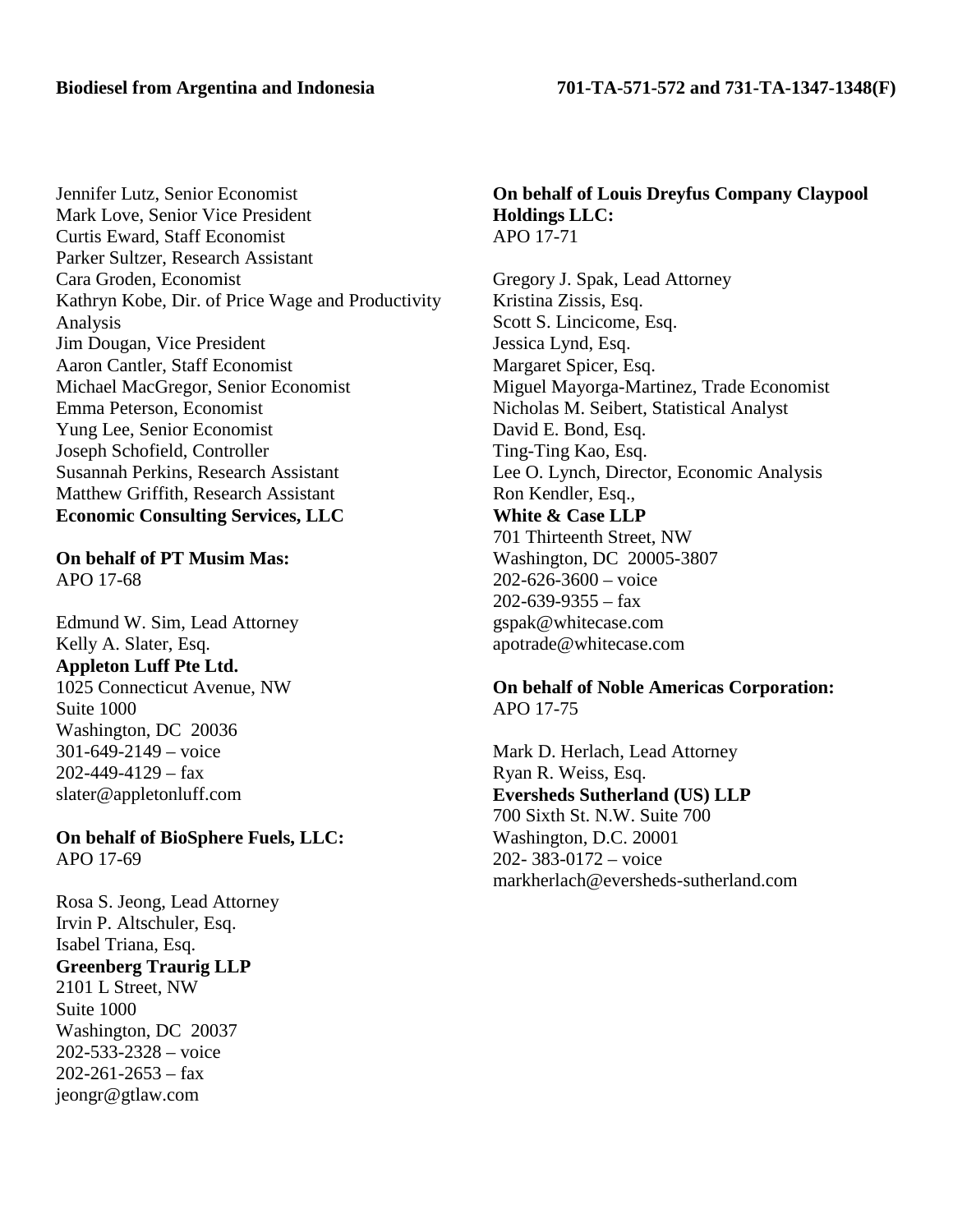Jennifer Lutz, Senior Economist Mark Love, Senior Vice President Curtis Eward, Staff Economist Parker Sultzer, Research Assistant Cara Groden, Economist Kathryn Kobe, Dir. of Price Wage and Productivity Analysis Jim Dougan, Vice President Aaron Cantler, Staff Economist Michael MacGregor, Senior Economist Emma Peterson, Economist Yung Lee, Senior Economist Joseph Schofield, Controller Susannah Perkins, Research Assistant Matthew Griffith, Research Assistant **Economic Consulting Services, LLC**

**On behalf of PT Musim Mas:** APO 17-68

Edmund W. Sim, Lead Attorney Kelly A. Slater, Esq. **Appleton Luff Pte Ltd.** 1025 Connecticut Avenue, NW Suite 1000 Washington, DC 20036 301-649-2149 – voice  $202 - 449 - 4129$  – fax slater@appletonluff.com

**On behalf of BioSphere Fuels, LLC:** APO 17-69

Rosa S. Jeong, Lead Attorney Irvin P. Altschuler, Esq. Isabel Triana, Esq. **Greenberg Traurig LLP** 2101 L Street, NW Suite 1000 Washington, DC 20037 202-533-2328 – voice  $202 - 261 - 2653 - fax$ jeongr@gtlaw.com

#### **On behalf of Louis Dreyfus Company Claypool Holdings LLC:** APO 17-71

Gregory J. Spak, Lead Attorney Kristina Zissis, Esq. Scott S. Lincicome, Esq. Jessica Lynd, Esq. Margaret Spicer, Esq. Miguel Mayorga-Martinez, Trade Economist Nicholas M. Seibert, Statistical Analyst David E. Bond, Esq. Ting-Ting Kao, Esq. Lee O. Lynch, Director, Economic Analysis Ron Kendler, Esq., **White & Case LLP** 701 Thirteenth Street, NW Washington, DC 20005-3807 202-626-3600 – voice  $202 - 639 - 9355 - fax$ gspak@whitecase.com apotrade@whitecase.com

# **On behalf of Noble Americas Corporation:** APO 17-75

Mark D. Herlach, Lead Attorney Ryan R. Weiss, Esq. **Eversheds Sutherland (US) LLP** 700 Sixth St. N.W. Suite 700 Washington, D.C. 20001 202- 383-0172 – voice markherlach@eversheds-sutherland.com